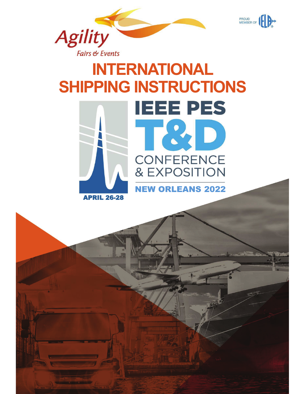







PROUD<br>MEMBER OF

NEW ORLEANS 2022

APRIL 26-28

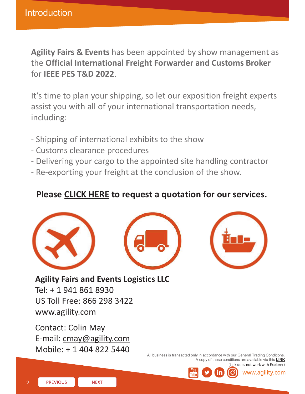Agility Fairs & Events has been appointed by show management as the **Official International Freight Forwarder and Customs Broker**  for **IEEE PES T&D 2022**.

It's time to plan your shipping, so let our exposition freight experts assist you with all of your international transportation needs, including:

- Shipping of international exhibits to the show
- Customs clearance procedures
- Delivering your cargo to the appointed site handling contractor
- Re-exporting your freight at the conclusion of the show.

### **Please CLICK HERE to request a quotation for our services.**







**Agility Fairs and Events Logistics LLC**

Tel: + 1 941 861 8930 US Toll Free: 866 298 3422 www.agility.com

Contact: Colin May E-mail: cmay@agility.com Mobile: + 1 404 822 5440

All business is transacted only in accordance with our General Trading Conditions. A copy of these conditions are available via this **LINK** (Link does not work with Explorer)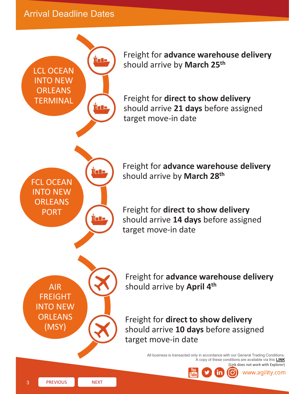**Arrival Deadline Dates** 

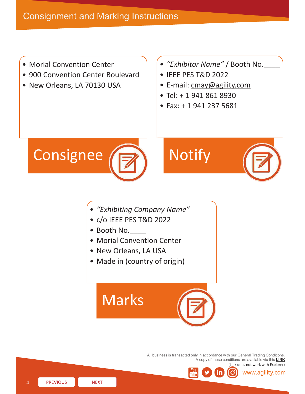• Morial Convention Center

**MENU**

- 900 Convention Center Boulevard
- New Orleans, LA 70130 USA
- *"Exhibitor Name"* / Booth No.\_\_\_\_
- IEEE PES T&D 2022
- E-mail: cmay@agility.com
- Tel: + 1 941 861 8930
- Fax: + 1 941 237 5681



# **Notify**



www.agility.com

- *"Exhibiting Company Name"*
- c/o IEEE PES T&D 2022
- Booth No.
- Morial Convention Center
- New Orleans, LA USA
- Made in (country of origin)



All business is transacted only in accordance with our General Trading Conditions. A copy of these conditions are available via this **LINK** (Link does not work with Explorer)

PREVIOUS NEXT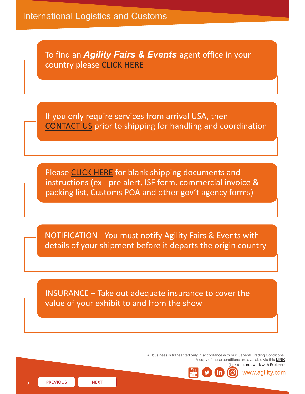To find an *Agility Fairs & Events* agent office in your country please CLICK HERE

If you only require services from arrival USA, then CONTACT US prior to shipping for handling and coordination

Please CLICK HERE for blank shipping documents and instructions (ex - pre alert, ISF form, commercial invoice & packing list, Customs POA and other gov't agency forms)

NOTIFICATION - You must notify Agility Fairs & Events with details of your shipment before it departs the origin country

INSURANCE – Take out adequate insurance to cover the value of your exhibit to and from the show

> All business is transacted only in accordance with our General Trading Conditions. A copy of these conditions are available via this **LINK** (Link does not work with Explorer)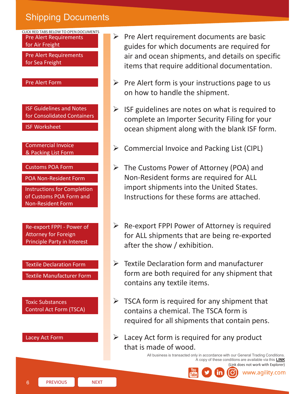# **Shipping Documents**



- $\triangleright$  Pre Alert requirement documents are basic guides for which documents are required for air and ocean shipments, and details on specific items that require additional documentation.
- $\triangleright$  Pre Alert form is your instructions page to us on how to handle the shipment.
- $\triangleright$  ISF guidelines are notes on what is required to complete an Importer Security Filing for your ocean shipment along with the blank ISF form.
- ¾ Commercial Invoice and Packing List (CIPL)
- $\triangleright$  The Customs Power of Attorney (POA) and Non-Resident forms are required for ALL import shipments into the United States. Instructions for these forms are attached.
- $\triangleright$  Re-export FPPI Power of Attorney is required for ALL shipments that are being re-exported after the show / exhibition.
- $\triangleright$  Textile Declaration form and manufacturer form are both required for any shipment that contains any textile items.
- $\triangleright$  TSCA form is required for any shipment that contains a chemical. The TSCA form is required for all shipments that contain pens.
- $\triangleright$  Lacey Act form is required for any product that is made of wood.

All business is transacted only in accordance with our General Trading Conditions. A copy of these conditions are available via this **LINK**



(Link does not work with Explorer) www.agility.com

6 **PREVIOUS NEXT**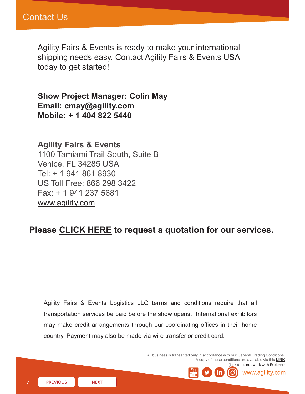Agility Fairs & Events is ready to make your international shipping needs easy. Contact Agility Fairs & Events USA today to get started!

**Show Project Manager: Colin May Email: cmay@agility.com Mobile: + 1 404 822 5440**

**Agility Fairs & Events**  1100 Tamiami Trail South, Suite B Venice, FL 34285 USA Tel: + 1 941 861 8930 US Toll Free: 866 298 3422 Fax: + 1 941 237 5681 www.agility.com

### **Please CLICK HERE to request a quotation for our services.**

Agility Fairs & Events Logistics LLC terms and conditions require that all transportation services be paid before the show opens. International exhibitors may make credit arrangements through our coordinating offices in their home country. Payment may also be made via wire transfer or credit card.

> All business is transacted only in accordance with our General Trading Conditions. A copy of these conditions are available via this **LINK** (Link does not work with Explorer)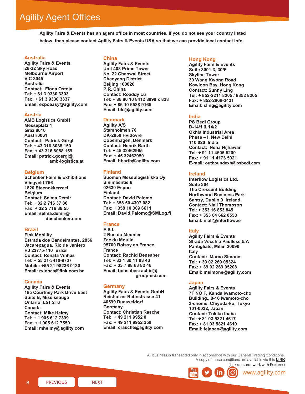## Agility Agent Offices

**Agility Fairs & Events has an agent office in most countries. If you do not see your country listed below, then please contact Agility Fairs & Events USA so that we can provide local contact info.** 

#### **MENU Australia**

**Agility Fairs & Events 28-32 Sky Road Melbourne Airport VIC 3045 Australia Contact: Fiona Ostoja Tel: + 61 3 9330 3303 Fax: + 61 3 9330 3337 Email: expoeasy@agility.com**

#### **Austria**

**AMB Logistics GmbH Messeplatz 1 Graz 8010 Austri0061 Contact: Patrick Görgl Tel: + 43 316 8088 150 Fax: + 43 316 8088 159 Email: patrick.goergl@ amb-logistics.at**

#### **Belgium**

**Schenker Fairs & Exhibitions Vliegveld 756 1820 Steenokkerzeel Belgium Contact: Selma Demir Tel: + 32 2 716 37 86 Fax: + 32 2 716 38 55 Email: selma.demir@ dbschenker.com**

#### **Brazil**

**Fink Mobility Estrada dos Bandeirantes, 2856 Jacarepagua, Rio de Janiero RJ 22775-110 Brazil Contact: Renata Vinhas Tel: + 55 21-3410-9737 Mobile: +55 21 98236 0130 Email: rvinhas@fink.com.br**

#### **Canada**

*Agility Partner Offices continued -* **Email: mhelmy@agility.com Agility Fairs & Events 185 Courtney Park Drive East Suite B, Mississauga Ontario L5T 2T6 Canada Contact: Mike Helmy Tel: + 1 905 612 7399 Fax: + 1 905 612 7550**

#### **China**

**Agility Fairs & Events Unit 408 Prime Tower No. 22 Chaowai Street Chaoyang District Beijing 100020 P.R. China Contact: Roaddy Lu Tel: + 86 86 10 8412 8899 x 828 Fax: + 86 10 6588 9165 Email: blu@agility.com**

#### **Denmark**

**Agility A/S Stamholmen 70 DK-2850 Hvidovre Copenhagen, Denmark Contact: Henrik Barth Tel: + 45 32462965 Fax: + 45 32462950 Email: hbarth@agility.com**

#### **Finland**

**Suomen Messulogistiikka Oy Sinimäentie 6 02630 Espoo Finland Contact: David Palomo Tel: + 358 50 4307 082 Fax: + 358 10 309 6611 Email: David.Palomo@SMLog.fi**

#### **France**

**E.S.I. 2 Rue du Meunier Zac du Moulin 95700 Roissy en France France Contact: Rachid Bensaber Tel: + 33 1 30 11 93 43 Fax: + 33 7 88 63 82 46 Email: bensaber.rachid@ group-esi.com**

#### **Germany**

**Agility Fairs & Events GmbH Reisholzer Bahnstrasse 41 40599 Duesseldorf Germany Contact: Christian Rasche Tel: + 49 211 9952 0 Fax: + 49 211 9952 259 Email: crasche@agility.com**

#### **Hong Kong**

**Agility Fairs & Events Suite 3001-3, 30/F Skyline Tower 39 Wang Kwong Road Kowloon Bay, Hong Kong Contact: Sunny Ling Tel: + 852-2211 8205 / 8852 8205 Fax: + 852-2866-2421 Email: sling@agility.com**

**Shipping Instructions**

#### **India**

**PS Bedi Group D-14/1 & 14/2 Okhla Industrial Area Phase – I, New Delhi 110 020 India Contact: Neha Nijhawan Tel: + 91 11 4605 5200 Fax: + 91 11 4173 5021 E-mail: outboundexh@psbedi.com**

#### **Ireland**

**Interflow Logistics Ltd. Suite 304 The Crescent Building Northwood Business Park Santry, Dublin 9 Ireland Contact: Niall Thompson Tel: + 353 16 853 845 Fax: + 353 64 662 0558 Email: niall@interflow.ie**

#### **Italy**

**Agility Fairs & Events Strada Vecchia Paullese 5/A Pantigliate, Milan 20090 Italy Contact: Marco Simone Tel: + 39 02 269 05324 Fax: + 39 02 269 05208 Email: msimone@agility.com** 

#### **Japan**

**Agility Fairs & Events 7F NO F, Kanda Iwamoto-cho Building., 8-16 Iwamoto-cho 3-chome, Chiyoda-ku, Tokyo 101-0032, Japan Contact: Tokiko Inaba Tel: + 81 03 5821 4617 Fax: + 81 03 5821 4610 Email: fejapan@agility.com**

All business is transacted only in accordance with our General Trading Conditions. A copy of these conditions are available via this **LINK** (Link does not work with Explorer)